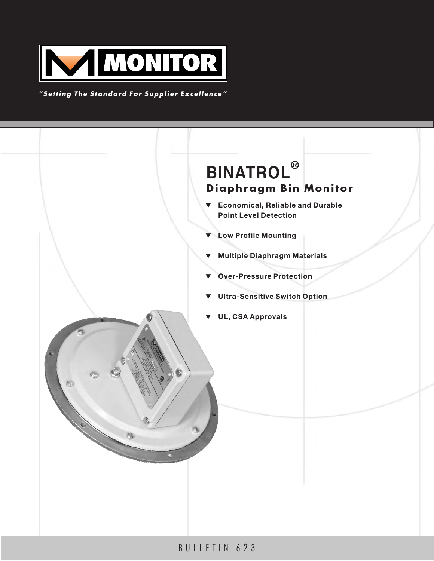

*"Setting The Standard For Supplier Excellence"*



# BULLETIN 623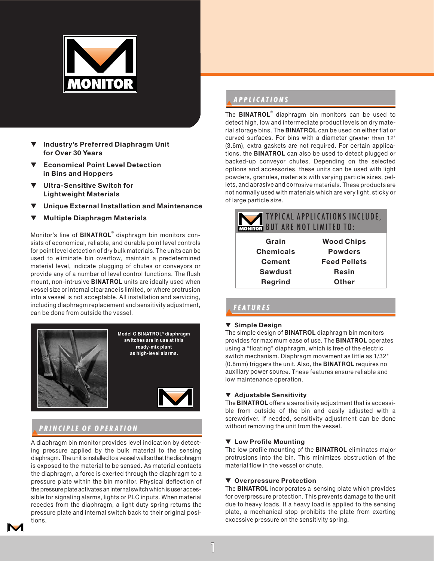

- **Industry's Preferred Diaphragm Unit for Over 30 Years**
- **Economical Point Level Detection in Bins and Hoppers**
- ▼ **Ultra-Sensitive Switch for Lightweight Materials**
- **Unique External Installation and Maintenance**
- **Multiple Diaphragm Materials**

Monitor's line of **BINATROL**® diaphragm bin monitors consists of economical, reliable, and durable point level controls for point level detection of dry bulk materials. The units can be used to eliminate bin overflow, maintain a predetermined material level, indicate plugging of chutes or conveyors or provide any of a number of level control functions. The flush mount, non-intrusive **BINATROL** units are ideally used when vessel size or internal clearance is limited, or where protrusion into a vessel is not acceptable. All installation and servicing, including diaphragm replacement and sensitivity adjustment, can be done from outside the vessel.



## ▼*PRINCIPLE OF OPERA PRINCIPLE OF OPERATION*

A diaphragm bin monitor provides level indication by detecting pressure applied by the bulk material to the sensing diaphragm. The unit is installed to a vessel wall so that the diaphragm is exposed to the material to be sensed. As material contacts the diaphragm, a force is exerted through the diaphragm to a pressure plate within the bin monitor. Physical deflection of the pressure plate activates an internal switch which is user accessible for signaling alarms, lights or PLC inputs. When material recedes from the diaphragm, a light duty spring returns the pressure plate and internal switch back to their original positions.

# ▼*APPLICA APPLICATIONS*

The **BINATROL**® diaphragm bin monitors can be used to detect high, low and intermediate product levels on dry material storage bins. The **BINATROL** can be used on either flat or curved surfaces. For bins with a diameter greater than 12' (3.6m), extra gaskets are not required. For certain applications, the **BINATROL** can also be used to detect plugged or backed-up conveyor chutes. Depending on the selected options and accessories, these units can be used with light powders, granules, materials with varying particle sizes, pellets, and abrasive and corrosive materials. These products are not normally used with materials which are very light, sticky or of large particle size.

| <b>TYPICAL APPLICATIONS INCLUDE,</b><br><b>MONITOR BUT ARE NOT LIMITED TO:</b> |                     |
|--------------------------------------------------------------------------------|---------------------|
| Grain                                                                          | <b>Wood Chips</b>   |
| <b>Chemicals</b>                                                               | <b>Powders</b>      |
| <b>Cement</b>                                                                  | <b>Feed Pellets</b> |
| <b>Sawdust</b>                                                                 | <b>Resin</b>        |
| <b>Regrind</b>                                                                 | <b>Other</b>        |

## ▼*FEA TURES*

## ▼ **Simple Design**

The simple design of **BINATROL** diaphragm bin monitors provides for maximum ease of use. The **BINATROL** operates using a "floating" diaphragm, which is free of the electric switch mechanism. Diaphragm movement as little as 1/32" (0.8mm) triggers the unit. Also, the **BINATROL** requires no auxiliary power source. These features ensure reliable and low maintenance operation.

## ▼ **Adjustable Sensitivity**

The **BINATROL** offers a sensitivity adjustment that is accessible from outside of the bin and easily adjusted with a screwdriver. If needed, sensitivity adjustment can be done without removing the unit from the vessel.

## ▼ **Low Profile Mounting**

The low profile mounting of the **BINATROL** eliminates major protrusions into the bin. This minimizes obstruction of the material flow in the vessel or chute.

## ▼ **Overpressure Protection**

The **BINATROL** incorporates a sensing plate which provides for overpressure protection. This prevents damage to the unit due to heavy loads. If a heavy load is applied to the sensing plate, a mechanical stop prohibits the plate from exerting excessive pressure on the sensitivity spring.

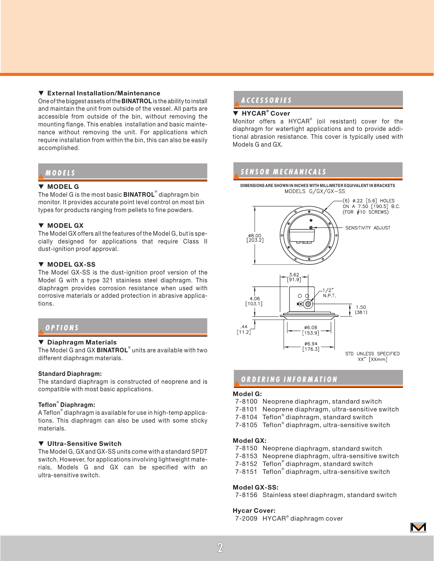### ▼ **External Installation/Maintenance**

One of the biggest assets of the **BINATROL** is the ability to install and maintain the unit from outside of the vessel. All parts are accessible from outside of the bin, without removing the mounting flange. This enables installation and basic maintenance without removing the unit. For applications which require installation from within the bin, this can also be easily accomplished.

## ▼*MODELS*

#### ▼ **MODEL G**

The Model G is the most basic **BINATROL**® diaphragm bin monitor. It provides accurate point level control on most bin types for products ranging from pellets to fine powders.

#### ▼ **MODEL GX**

The Model GX offers all the features of the Model G, but is specially designed for applications that require Class II dust-ignition proof approval.

### ▼ **MODEL GX-SS**

The Model GX-SS is the dust-ignition proof version of the Model G with a type 321 stainless steel diaphragm. This diaphragm provides corrosion resistance when used with corrosive materials or added protection in abrasive applications.

## ▼*OPTIONS*

## ▼ **Diaphragm Materials**

The Model G and GX **BINATROL**® units are available with two different diaphragm materials.

#### **Standard Diaphragm:**

The standard diaphragm is constructed of neoprene and is compatible with most basic applications.

#### **Teflon**® **Diaphragm:**

A Teflon® diaphragm is available for use in high-temp applications. This diaphragm can also be used with some sticky materials.

### ▼ **Ultra-Sensitive Switch**

The Model G, GX and GX-SS units come with a standard SPDT switch. However, for applications involving lightweight materials, Models G and GX can be specified with an ultra-sensitive switch.

## ▼*ACCESSORIES A CCESSORIES*

## ▼ **HYCAR® Cover**

Monitor offers a HYCAR® (oil resistant) cover for the diaphragm for watertight applications and to provide additional abrasion resistance. This cover is typically used with Models G and GX.

## ▼*SENSOR MECHANICALS SENSOR MECHANICALS*

**DIMENSIONS ARE SHOWN IN INCHES WITH MILLIMETER EQUIVALENT IN BRACKETS**



## ▼*ORDERING INFORMA INFORMA TION*

#### **Model G:**

- 7-8100 Neoprene diaphragm, standard switch
- 7-8101 Neoprene diaphragm, ultra-sensitive switch
- 7-8104 Teflon® diaphragm, standard switch
- 7-8105 Teflon® diaphragm, ultra-sensitive switch

#### **Model GX:**

- 7-8150 Neoprene diaphragm, standard switch
- 7-8153 Neoprene diaphragm, ultra-sensitive switch
- 7-8152 Teflon® diaphragm, standard switch
- 7-8151 Teflon® diaphragm, ultra-sensitive switch

#### **Model GX-SS:**

7-8156 Stainless steel diaphragm, standard switch

#### **Hycar Cover:**

7-2009 HYCAR® diaphragm cover